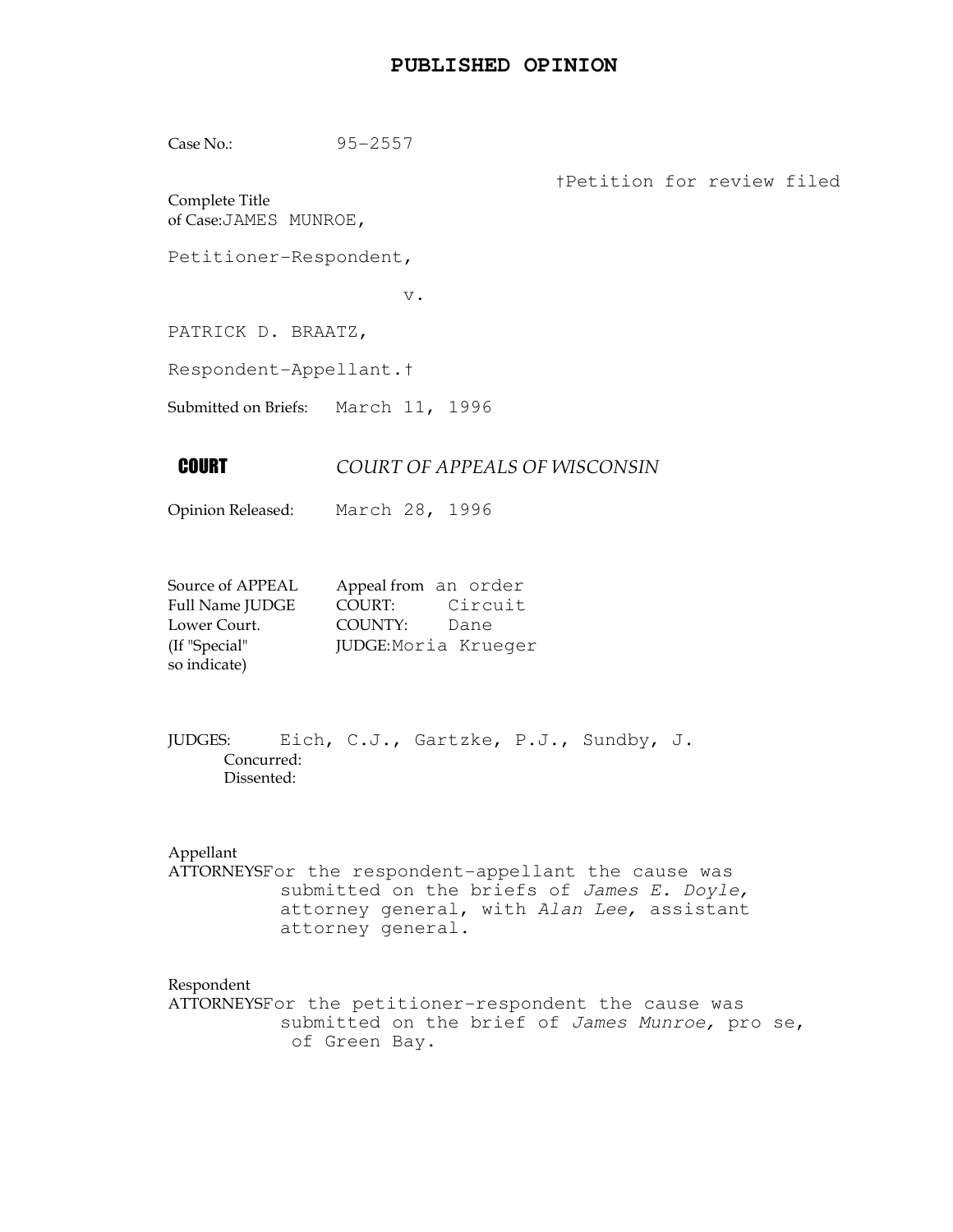## **PUBLISHED OPINION**

Case No.: 95-2557

†Petition for review filed

Complete Title of Case:JAMES MUNROE,

Petitioner-Respondent,

v.

PATRICK D. BRAATZ,

Respondent-Appellant.†

Submitted on Briefs: March 11, 1996

## **COURT OF APPEALS OF WISCONSIN**

Opinion Released: March 28, 1996

| Source of APPEAL | Appeal from an order |
|------------------|----------------------|
| Full Name JUDGE  | Circuit<br>COURT:    |
| Lower Court.     | COUNTY:<br>Dane      |
| (If "Special"    | JUDGE: Moria Krueger |
| so indicate)     |                      |

JUDGES: Eich, C.J., Gartzke, P.J., Sundby, J. Concurred: Dissented:

Appellant

ATTORNEYSFor the respondent-appellant the cause was submitted on the briefs of James E. Doyle, attorney general, with Alan Lee, assistant attorney general.

Respondent

ATTORNEYSFor the petitioner-respondent the cause was submitted on the brief of James Munroe, pro se, of Green Bay.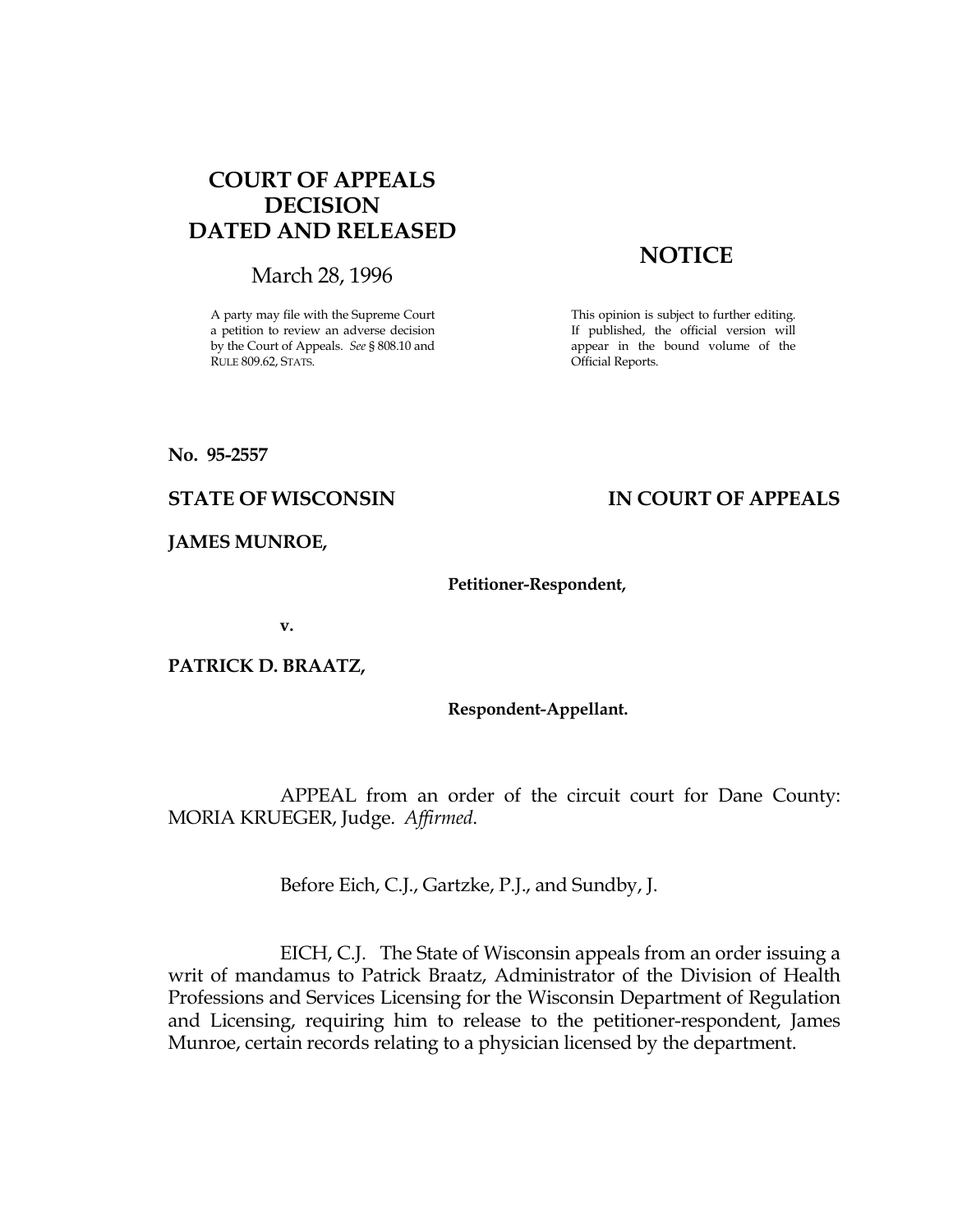# COURT OF APPEALS DECISION DATED AND RELEASED

March 28, 1996

A party may file with the Supreme Court a petition to review an adverse decision by the Court of Appeals. See § 808.10 and RULE 809.62, STATS.

# **NOTICE**

This opinion is subject to further editing. If published, the official version will appear in the bound volume of the Official Reports.

No. 95-2557

## STATE OF WISCONSIN IN COURT OF APPEALS

JAMES MUNROE,

### Petitioner-Respondent,

v.

PATRICK D. BRAATZ,

### Respondent-Appellant.

 APPEAL from an order of the circuit court for Dane County: MORIA KRUEGER, Judge. Affirmed.

Before Eich, C.J., Gartzke, P.J., and Sundby, J.

 EICH, C.J. The State of Wisconsin appeals from an order issuing a writ of mandamus to Patrick Braatz, Administrator of the Division of Health Professions and Services Licensing for the Wisconsin Department of Regulation and Licensing, requiring him to release to the petitioner-respondent, James Munroe, certain records relating to a physician licensed by the department.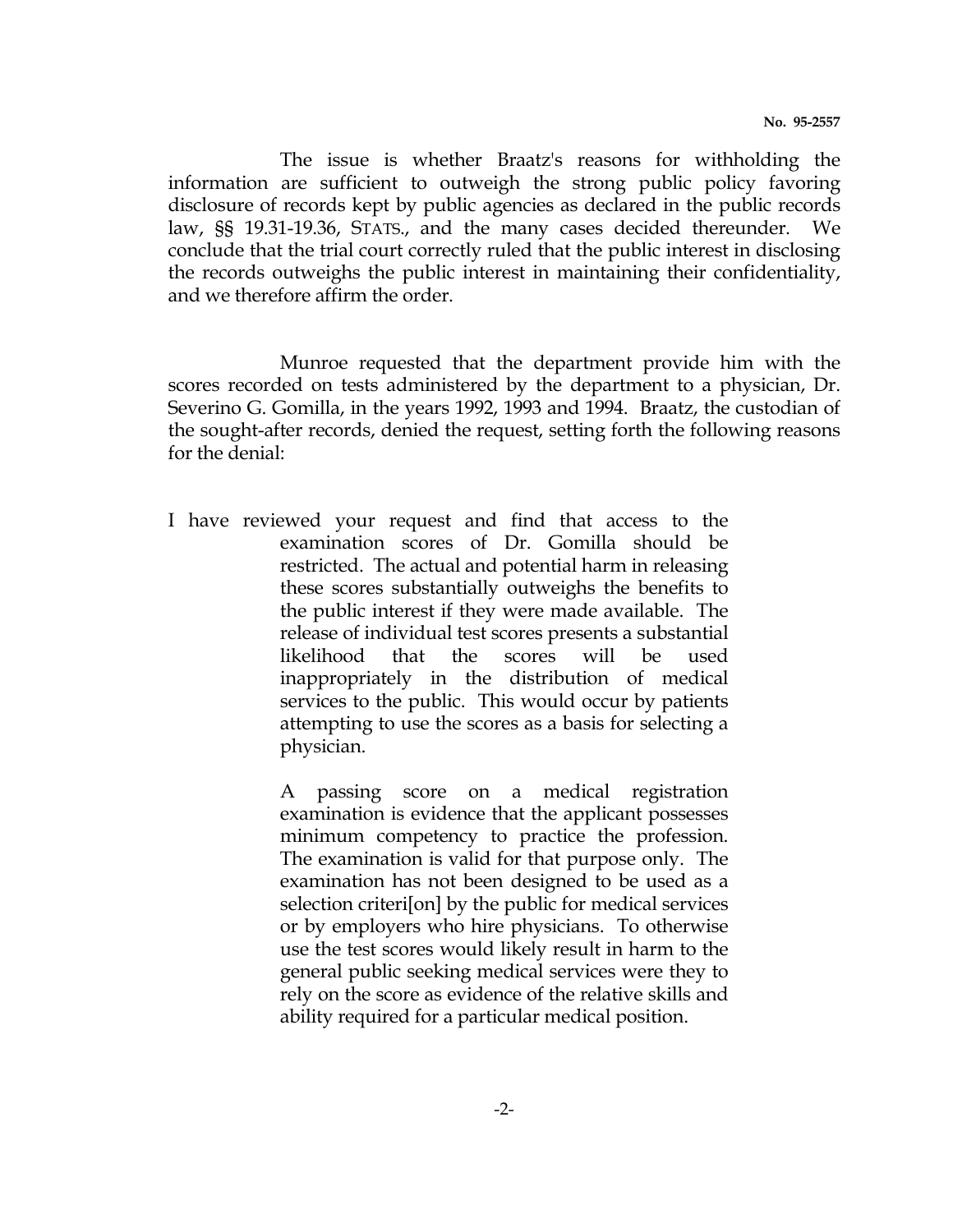The issue is whether Braatz's reasons for withholding the information are sufficient to outweigh the strong public policy favoring disclosure of records kept by public agencies as declared in the public records law, §§ 19.31-19.36, STATS., and the many cases decided thereunder. We conclude that the trial court correctly ruled that the public interest in disclosing the records outweighs the public interest in maintaining their confidentiality, and we therefore affirm the order.

 Munroe requested that the department provide him with the scores recorded on tests administered by the department to a physician, Dr. Severino G. Gomilla, in the years 1992, 1993 and 1994. Braatz, the custodian of the sought-after records, denied the request, setting forth the following reasons for the denial:

I have reviewed your request and find that access to the examination scores of Dr. Gomilla should be restricted. The actual and potential harm in releasing these scores substantially outweighs the benefits to the public interest if they were made available. The release of individual test scores presents a substantial likelihood that the scores will be used inappropriately in the distribution of medical services to the public. This would occur by patients attempting to use the scores as a basis for selecting a physician.

> A passing score on a medical registration examination is evidence that the applicant possesses minimum competency to practice the profession. The examination is valid for that purpose only. The examination has not been designed to be used as a selection criteri[on] by the public for medical services or by employers who hire physicians. To otherwise use the test scores would likely result in harm to the general public seeking medical services were they to rely on the score as evidence of the relative skills and ability required for a particular medical position.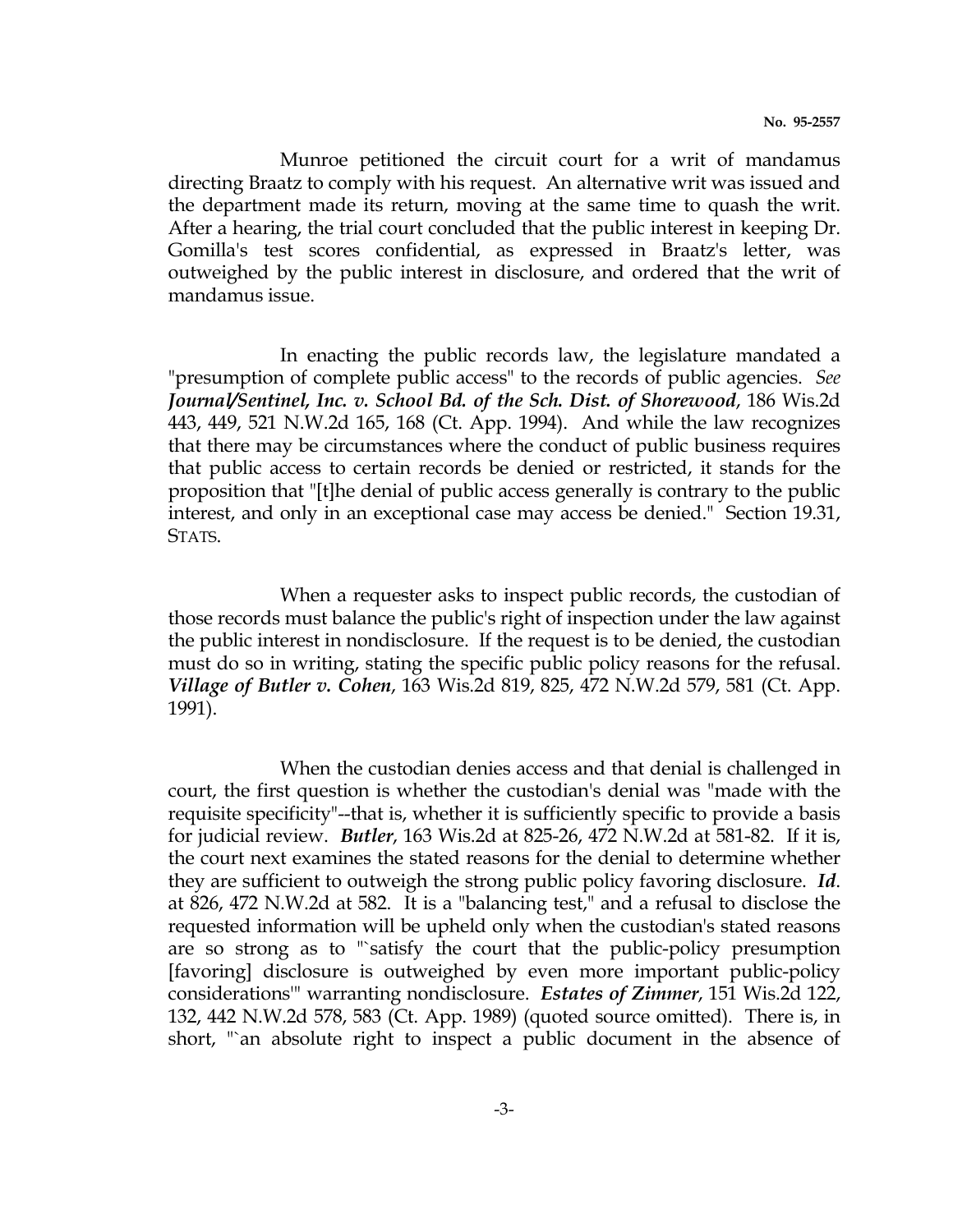Munroe petitioned the circuit court for a writ of mandamus directing Braatz to comply with his request. An alternative writ was issued and the department made its return, moving at the same time to quash the writ. After a hearing, the trial court concluded that the public interest in keeping Dr. Gomilla's test scores confidential, as expressed in Braatz's letter, was outweighed by the public interest in disclosure, and ordered that the writ of mandamus issue.

 In enacting the public records law, the legislature mandated a "presumption of complete public access" to the records of public agencies. See Journal/Sentinel, Inc. v. School Bd. of the Sch. Dist. of Shorewood, 186 Wis.2d 443, 449, 521 N.W.2d 165, 168 (Ct. App. 1994). And while the law recognizes that there may be circumstances where the conduct of public business requires that public access to certain records be denied or restricted, it stands for the proposition that "[t]he denial of public access generally is contrary to the public interest, and only in an exceptional case may access be denied." Section 19.31, STATS.

 When a requester asks to inspect public records, the custodian of those records must balance the public's right of inspection under the law against the public interest in nondisclosure. If the request is to be denied, the custodian must do so in writing, stating the specific public policy reasons for the refusal. Village of Butler v. Cohen, 163 Wis.2d 819, 825, 472 N.W.2d 579, 581 (Ct. App. 1991).

 When the custodian denies access and that denial is challenged in court, the first question is whether the custodian's denial was "made with the requisite specificity"--that is, whether it is sufficiently specific to provide a basis for judicial review. Butler, 163 Wis.2d at 825-26, 472 N.W.2d at 581-82. If it is, the court next examines the stated reasons for the denial to determine whether they are sufficient to outweigh the strong public policy favoring disclosure. Id. at 826, 472 N.W.2d at 582. It is a "balancing test," and a refusal to disclose the requested information will be upheld only when the custodian's stated reasons are so strong as to "`satisfy the court that the public-policy presumption [favoring] disclosure is outweighed by even more important public-policy considerations'" warranting nondisclosure. Estates of Zimmer, 151 Wis.2d 122, 132, 442 N.W.2d 578, 583 (Ct. App. 1989) (quoted source omitted). There is, in short, "`an absolute right to inspect a public document in the absence of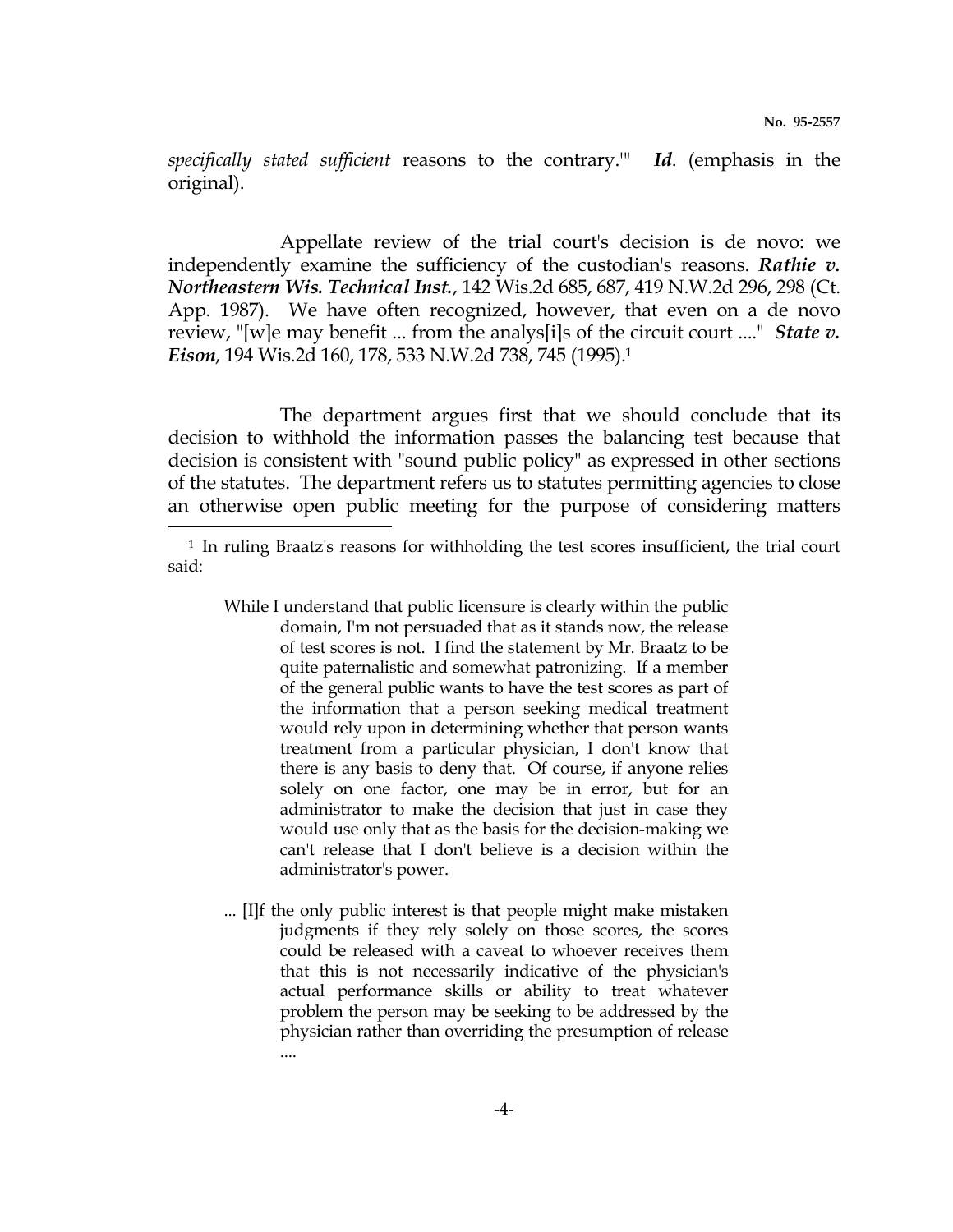specifically stated sufficient reasons to the contrary.'" Id. (emphasis in the original).

 Appellate review of the trial court's decision is de novo: we independently examine the sufficiency of the custodian's reasons. Rathie  $v$ . Northeastern Wis. Technical Inst., 142 Wis.2d 685, 687, 419 N.W.2d 296, 298 (Ct. App. 1987). We have often recognized, however, that even on a de novo review, "[w]e may benefit ... from the analys[i]s of the circuit court ...." *State v*. Eison, 194 Wis.2d 160, 178, 533 N.W.2d 738, 745 (1995).<sup>1</sup>

 The department argues first that we should conclude that its decision to withhold the information passes the balancing test because that decision is consistent with "sound public policy" as expressed in other sections of the statutes. The department refers us to statutes permitting agencies to close an otherwise open public meeting for the purpose of considering matters e<br>S

- While I understand that public licensure is clearly within the public domain, I'm not persuaded that as it stands now, the release of test scores is not. I find the statement by Mr. Braatz to be quite paternalistic and somewhat patronizing. If a member of the general public wants to have the test scores as part of the information that a person seeking medical treatment would rely upon in determining whether that person wants treatment from a particular physician, I don't know that there is any basis to deny that. Of course, if anyone relies solely on one factor, one may be in error, but for an administrator to make the decision that just in case they would use only that as the basis for the decision-making we can't release that I don't believe is a decision within the administrator's power.
- ... [I]f the only public interest is that people might make mistaken judgments if they rely solely on those scores, the scores could be released with a caveat to whoever receives them that this is not necessarily indicative of the physician's actual performance skills or ability to treat whatever problem the person may be seeking to be addressed by the physician rather than overriding the presumption of release ....

<sup>1</sup> In ruling Braatz's reasons for withholding the test scores insufficient, the trial court said: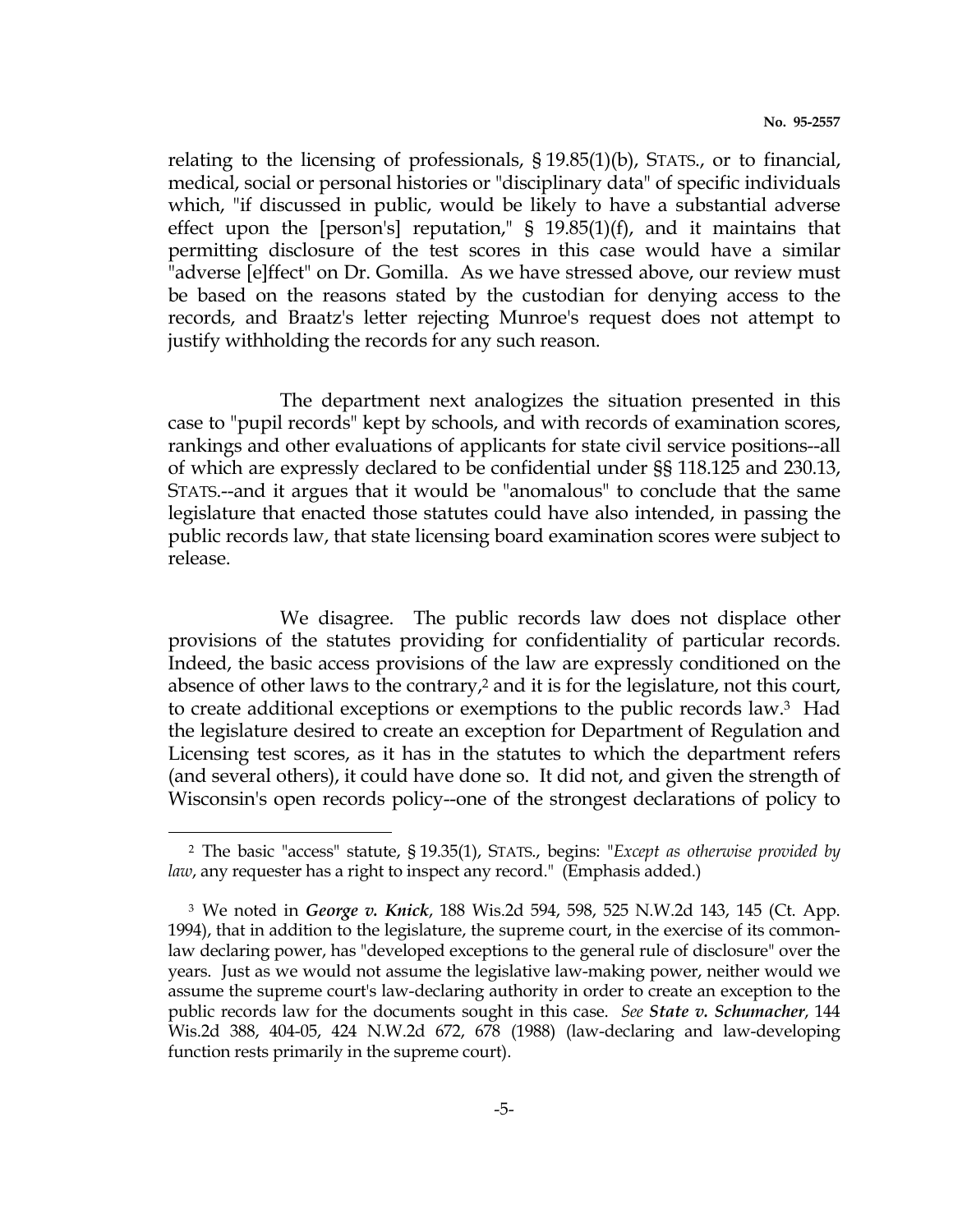relating to the licensing of professionals, § 19.85(1)(b), STATS., or to financial, medical, social or personal histories or "disciplinary data" of specific individuals which, "if discussed in public, would be likely to have a substantial adverse effect upon the [person's] reputation," § 19.85(1)(f), and it maintains that permitting disclosure of the test scores in this case would have a similar "adverse [e]ffect" on Dr. Gomilla. As we have stressed above, our review must be based on the reasons stated by the custodian for denying access to the records, and Braatz's letter rejecting Munroe's request does not attempt to justify withholding the records for any such reason.

 The department next analogizes the situation presented in this case to "pupil records" kept by schools, and with records of examination scores, rankings and other evaluations of applicants for state civil service positions--all of which are expressly declared to be confidential under §§ 118.125 and 230.13, STATS.--and it argues that it would be "anomalous" to conclude that the same legislature that enacted those statutes could have also intended, in passing the public records law, that state licensing board examination scores were subject to release.

 We disagree. The public records law does not displace other provisions of the statutes providing for confidentiality of particular records. Indeed, the basic access provisions of the law are expressly conditioned on the absence of other laws to the contrary,<sup>2</sup> and it is for the legislature, not this court, to create additional exceptions or exemptions to the public records law.3 Had the legislature desired to create an exception for Department of Regulation and Licensing test scores, as it has in the statutes to which the department refers (and several others), it could have done so. It did not, and given the strength of Wisconsin's open records policy--one of the strongest declarations of policy to

i

<sup>2</sup> The basic "access" statute, § 19.35(1), STATS., begins: "Except as otherwise provided by law, any requester has a right to inspect any record." (Emphasis added.)

<sup>&</sup>lt;sup>3</sup> We noted in *George v. Knick*, 188 Wis.2d 594, 598, 525 N.W.2d 143, 145 (Ct. App. 1994), that in addition to the legislature, the supreme court, in the exercise of its commonlaw declaring power, has "developed exceptions to the general rule of disclosure" over the years. Just as we would not assume the legislative law-making power, neither would we assume the supreme court's law-declaring authority in order to create an exception to the public records law for the documents sought in this case. See State v. Schumacher, 144 Wis.2d 388, 404-05, 424 N.W.2d 672, 678 (1988) (law-declaring and law-developing function rests primarily in the supreme court).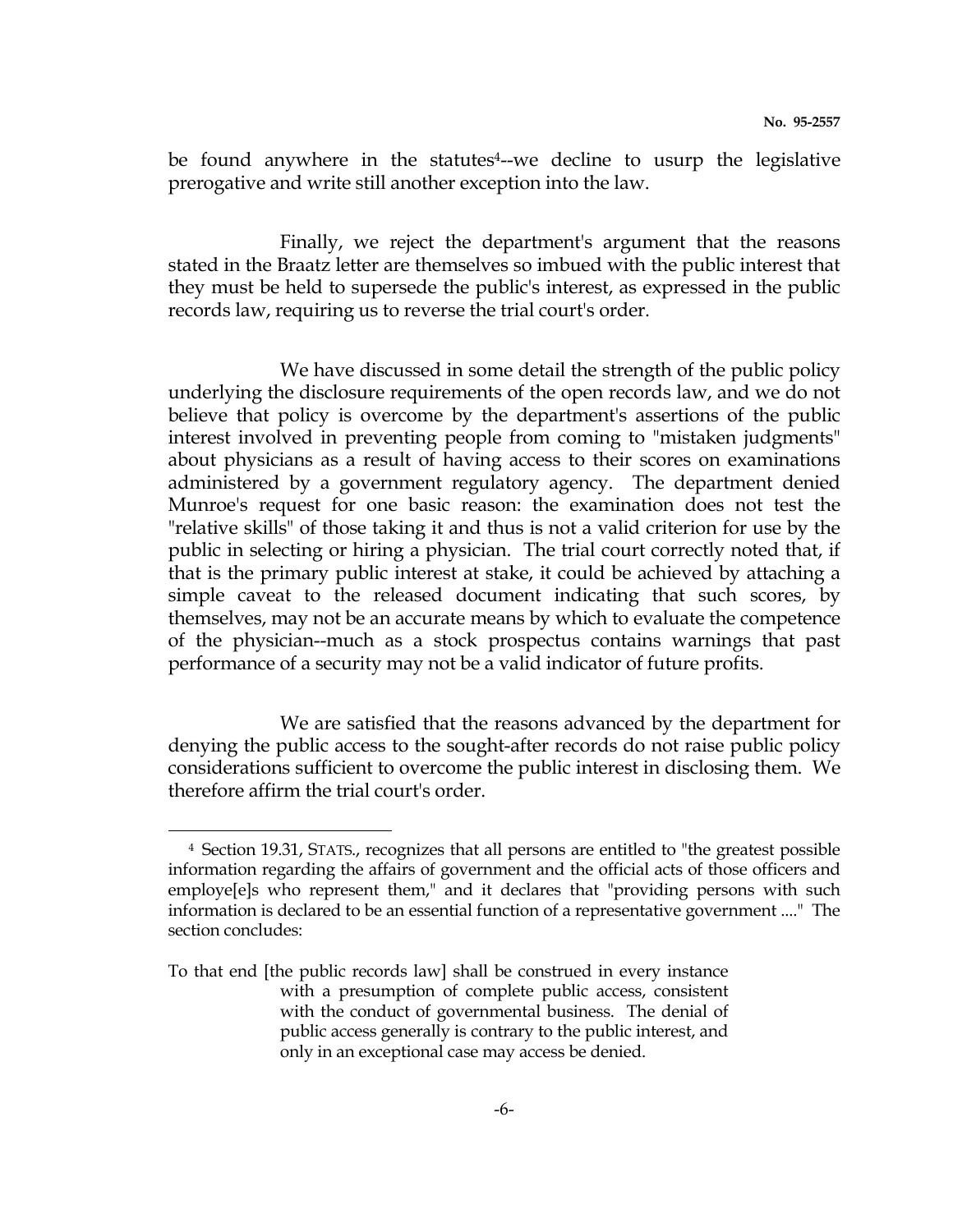be found anywhere in the statutes<sup>4</sup>--we decline to usurp the legislative prerogative and write still another exception into the law.

 Finally, we reject the department's argument that the reasons stated in the Braatz letter are themselves so imbued with the public interest that they must be held to supersede the public's interest, as expressed in the public records law, requiring us to reverse the trial court's order.

 We have discussed in some detail the strength of the public policy underlying the disclosure requirements of the open records law, and we do not believe that policy is overcome by the department's assertions of the public interest involved in preventing people from coming to "mistaken judgments" about physicians as a result of having access to their scores on examinations administered by a government regulatory agency. The department denied Munroe's request for one basic reason: the examination does not test the "relative skills" of those taking it and thus is not a valid criterion for use by the public in selecting or hiring a physician. The trial court correctly noted that, if that is the primary public interest at stake, it could be achieved by attaching a simple caveat to the released document indicating that such scores, by themselves, may not be an accurate means by which to evaluate the competence of the physician--much as a stock prospectus contains warnings that past performance of a security may not be a valid indicator of future profits.

 We are satisfied that the reasons advanced by the department for denying the public access to the sought-after records do not raise public policy considerations sufficient to overcome the public interest in disclosing them. We therefore affirm the trial court's order.

e<br>S

<sup>4</sup> Section 19.31, STATS., recognizes that all persons are entitled to "the greatest possible information regarding the affairs of government and the official acts of those officers and employe[e]s who represent them," and it declares that "providing persons with such information is declared to be an essential function of a representative government ...." The section concludes:

To that end [the public records law] shall be construed in every instance with a presumption of complete public access, consistent with the conduct of governmental business. The denial of public access generally is contrary to the public interest, and only in an exceptional case may access be denied.